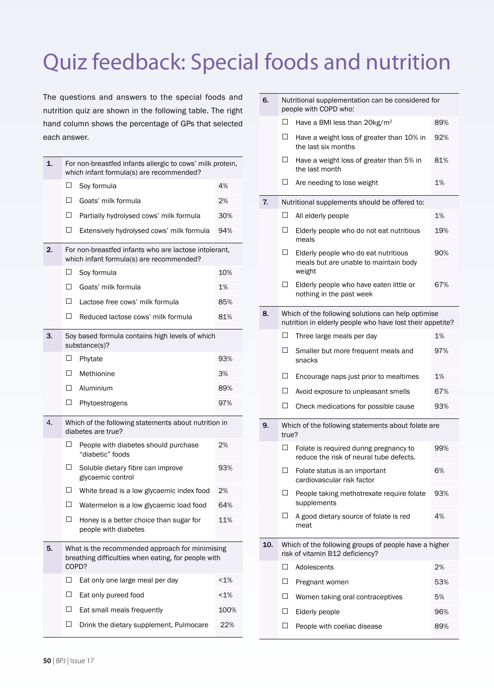# Quiz feedback: Special foods and nutrition

The questions and answers to the special foods and nutrition quiz are shown in the following table. The right hand column shows the percentage of GPs that selected each answer.

| 1. | For non-breastfed infants allergic to cows' milk protein,<br>which infant formula(s) are recommended?           |                                                                                                   |      |  |
|----|-----------------------------------------------------------------------------------------------------------------|---------------------------------------------------------------------------------------------------|------|--|
|    | □                                                                                                               | Soy formula                                                                                       | 4%   |  |
|    | □                                                                                                               | Goats' milk formula                                                                               | 2%   |  |
|    | □                                                                                                               | Partially hydrolysed cows' milk formula                                                           | 30%  |  |
|    | □                                                                                                               | Extensively hydrolysed cows' milk formula                                                         | 94%  |  |
| 2. |                                                                                                                 | For non-breastfed infants who are lactose intolerant,<br>which infant formula(s) are recommended? |      |  |
|    | □                                                                                                               | Soy formula                                                                                       | 10%  |  |
|    | Π                                                                                                               | Goats' milk formula                                                                               | 1%   |  |
|    | П                                                                                                               | Lactose free cows' milk formula                                                                   | 85%  |  |
|    | □                                                                                                               | Reduced lactose cows' milk formula                                                                | 81%  |  |
| 3. | Soy based formula contains high levels of which<br>substance(s)?                                                |                                                                                                   |      |  |
|    | □                                                                                                               | Phytate                                                                                           | 93%  |  |
|    | H                                                                                                               | Methionine                                                                                        | 3%   |  |
|    | $\perp$                                                                                                         | Aluminium                                                                                         | 89%  |  |
|    | □                                                                                                               | Phytoestrogens                                                                                    | 97%  |  |
| 4. | Which of the following statements about nutrition in<br>diabetes are true?                                      |                                                                                                   |      |  |
|    | □                                                                                                               | People with diabetes should purchase<br>"diabetic" foods                                          | 2%   |  |
|    | □                                                                                                               | Soluble dietary fibre can improve<br>glycaemic control                                            | 93%  |  |
|    | $\perp$                                                                                                         | White bread is a low glycaemic index food                                                         | 2%   |  |
|    | H                                                                                                               | Watermelon is a low glycaemic load food                                                           | 64%  |  |
|    | ш                                                                                                               | Honey is a better choice than sugar for<br>people with diabetes                                   | 11%  |  |
| 5. | What is the recommended approach for minimising<br>breathing difficulties when eating, for people with<br>COPD? |                                                                                                   |      |  |
|    | □                                                                                                               | Eat only one large meal per day                                                                   | 1%   |  |
|    | П                                                                                                               | Eat only pureed food                                                                              | 1%   |  |
|    | Π                                                                                                               | Eat small meals frequently                                                                        | 100% |  |
|    | □                                                                                                               | Drink the dietary supplement, Pulmocare                                                           | 22%  |  |

| 6.  | Nutritional supplementation can be considered for<br>people with COPD who:               |                                                                                                                 |     |  |  |
|-----|------------------------------------------------------------------------------------------|-----------------------------------------------------------------------------------------------------------------|-----|--|--|
|     | □                                                                                        | Have a BMI less than 20kg/m <sup>2</sup>                                                                        | 89% |  |  |
|     | □                                                                                        | Have a weight loss of greater than 10% in<br>the last six months                                                | 92% |  |  |
|     | □                                                                                        | Have a weight loss of greater than 5% in<br>the last month                                                      | 81% |  |  |
|     | □                                                                                        | Are needing to lose weight                                                                                      | 1%  |  |  |
| 7.  |                                                                                          | Nutritional supplements should be offered to:                                                                   |     |  |  |
|     | □                                                                                        | All elderly people                                                                                              | 1%  |  |  |
|     | □                                                                                        | Elderly people who do not eat nutritious<br>meals                                                               | 19% |  |  |
|     | □                                                                                        | Elderly people who do eat nutritious<br>meals but are unable to maintain body<br>weight                         | 90% |  |  |
|     | □                                                                                        | Elderly people who have eaten little or<br>nothing in the past week                                             | 67% |  |  |
| 8.  |                                                                                          | Which of the following solutions can help optimise<br>nutrition in elderly people who have lost their appetite? |     |  |  |
|     | □                                                                                        | Three large meals per day                                                                                       | 1%  |  |  |
|     | □                                                                                        | Smaller but more frequent meals and<br>snacks                                                                   | 97% |  |  |
|     | □                                                                                        | Encourage naps just prior to mealtimes                                                                          | 1%  |  |  |
|     | □                                                                                        | Avoid exposure to unpleasant smells                                                                             | 67% |  |  |
|     | □                                                                                        | Check medications for possible cause                                                                            | 93% |  |  |
| 9.  | Which of the following statements about folate are<br>true?                              |                                                                                                                 |     |  |  |
|     | □                                                                                        | Folate is required during pregnancy to<br>reduce the risk of neural tube defects.                               | 99% |  |  |
|     | $\Box$                                                                                   | Folate status is an important<br>cardiovascular risk factor                                                     | 6%  |  |  |
|     | □                                                                                        | People taking methotrexate require folate<br>supplements                                                        | 93% |  |  |
|     | П                                                                                        | A good dietary source of folate is red<br>meat                                                                  | 4%  |  |  |
| 10. | Which of the following groups of people have a higher<br>risk of vitamin B12 deficiency? |                                                                                                                 |     |  |  |
|     | □                                                                                        | Adolescents                                                                                                     | 2%  |  |  |
|     | □                                                                                        | Pregnant women                                                                                                  | 53% |  |  |
|     | □                                                                                        | Women taking oral contraceptives                                                                                | 5%  |  |  |
|     | □                                                                                        | Elderly people                                                                                                  | 96% |  |  |
|     | □                                                                                        | People with coeliac disease                                                                                     | 89% |  |  |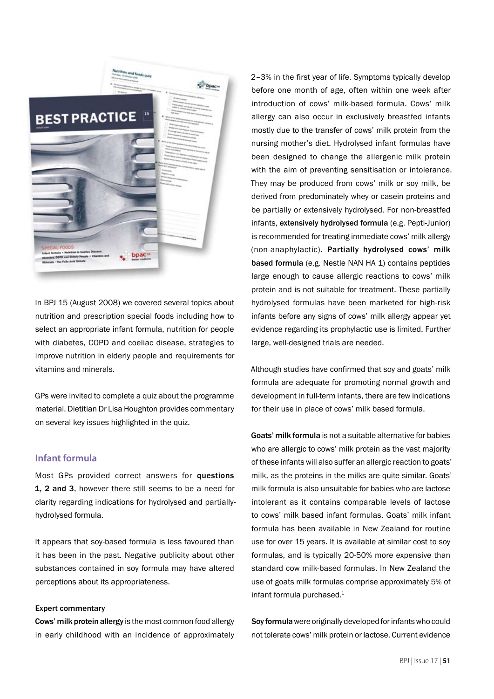

In BPJ 15 (August 2008) we covered several topics about nutrition and prescription special foods including how to select an appropriate infant formula, nutrition for people with diabetes, COPD and coeliac disease, strategies to improve nutrition in elderly people and requirements for vitamins and minerals.

GPs were invited to complete a quiz about the programme material. Dietitian Dr Lisa Houghton provides commentary on several key issues highlighted in the quiz.

## **Infant formula**

Most GPs provided correct answers for questions 1, 2 and 3, however there still seems to be a need for clarity regarding indications for hydrolysed and partiallyhydrolysed formula.

It appears that soy-based formula is less favoured than it has been in the past. Negative publicity about other substances contained in soy formula may have altered perceptions about its appropriateness.

### Expert commentary

Cows' milk protein allergy is the most common food allergy in early childhood with an incidence of approximately 2–3% in the first year of life. Symptoms typically develop before one month of age, often within one week after introduction of cows' milk-based formula. Cows' milk allergy can also occur in exclusively breastfed infants mostly due to the transfer of cows' milk protein from the nursing mother's diet. Hydrolysed infant formulas have been designed to change the allergenic milk protein with the aim of preventing sensitisation or intolerance. They may be produced from cows' milk or soy milk, be derived from predominately whey or casein proteins and be partially or extensively hydrolysed. For non-breastfed infants, extensively hydrolysed formula (e.g. Pepti-Junior) is recommended for treating immediate cows' milk allergy (non-anaphylactic). Partially hydrolysed cows' milk based formula (e.g. Nestle NAN HA 1) contains peptides large enough to cause allergic reactions to cows' milk protein and is not suitable for treatment. These partially hydrolysed formulas have been marketed for high-risk infants before any signs of cows' milk allergy appear yet evidence regarding its prophylactic use is limited. Further large, well-designed trials are needed.

Although studies have confirmed that soy and goats' milk formula are adequate for promoting normal growth and development in full-term infants, there are few indications for their use in place of cows' milk based formula.

Goats' milk formula is not a suitable alternative for babies who are allergic to cows' milk protein as the vast majority of these infants will also suffer an allergic reaction to goats' milk, as the proteins in the milks are quite similar. Goats' milk formula is also unsuitable for babies who are lactose intolerant as it contains comparable levels of lactose to cows' milk based infant formulas. Goats' milk infant formula has been available in New Zealand for routine use for over 15 years. It is available at similar cost to soy formulas, and is typically 20-50% more expensive than standard cow milk-based formulas. In New Zealand the use of goats milk formulas comprise approximately 5% of infant formula purchased.<sup>1</sup>

Soy formula were originally developed for infants who could not tolerate cows' milk protein or lactose. Current evidence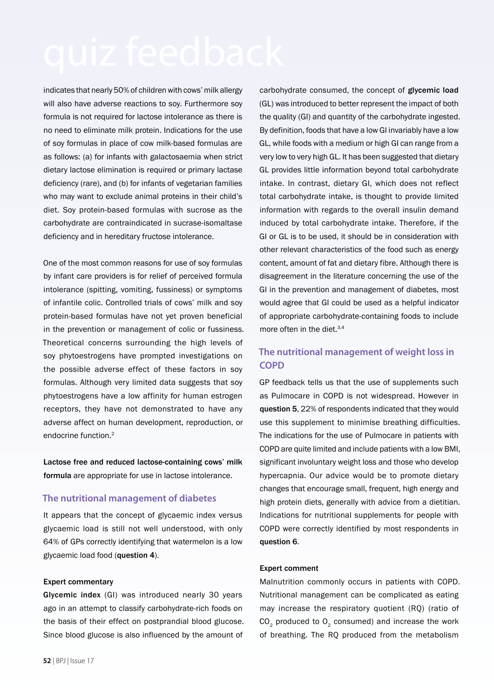indicates that nearly 50% of children with cows' milk allergy will also have adverse reactions to soy. Furthermore soy formula is not required for lactose intolerance as there is no need to eliminate milk protein. Indications for the use of soy formulas in place of cow milk-based formulas are as follows: (a) for infants with galactosaemia when strict dietary lactose elimination is required or primary lactase deficiency (rare), and (b) for infants of vegetarian families who may want to exclude animal proteins in their child's diet. Soy protein-based formulas with sucrose as the carbohydrate are contraindicated in sucrase-isomaltase deficiency and in hereditary fructose intolerance.

One of the most common reasons for use of soy formulas by infant care providers is for relief of perceived formula intolerance (spitting, vomiting, fussiness) or symptoms of infantile colic. Controlled trials of cows' milk and soy protein-based formulas have not yet proven beneficial in the prevention or management of colic or fussiness. Theoretical concerns surrounding the high levels of soy phytoestrogens have prompted investigations on the possible adverse effect of these factors in soy formulas. Although very limited data suggests that soy phytoestrogens have a low affinity for human estrogen receptors, they have not demonstrated to have any adverse affect on human development, reproduction, or endocrine function.2

Lactose free and reduced lactose-containing cows' milk formula are appropriate for use in lactose intolerance.

# **The nutritional management of diabetes**

It appears that the concept of glycaemic index versus glycaemic load is still not well understood, with only 64% of GPs correctly identifying that watermelon is a low glycaemic load food (question 4).

### Expert commentary

Glycemic index (GI) was introduced nearly 30 years ago in an attempt to classify carbohydrate-rich foods on the basis of their effect on postprandial blood glucose. Since blood glucose is also influenced by the amount of

carbohydrate consumed, the concept of glycemic load (GL) was introduced to better represent the impact of both the quality (GI) and quantity of the carbohydrate ingested. By definition, foods that have a low GI invariably have a low GL, while foods with a medium or high GI can range from a very low to very high GL. It has been suggested that dietary GL provides little information beyond total carbohydrate intake. In contrast, dietary GI, which does not reflect total carbohydrate intake, is thought to provide limited information with regards to the overall insulin demand induced by total carbohydrate intake. Therefore, if the GI or GL is to be used, it should be in consideration with other relevant characteristics of the food such as energy content, amount of fat and dietary fibre. Although there is disagreement in the literature concerning the use of the GI in the prevention and management of diabetes, most would agree that GI could be used as a helpful indicator of appropriate carbohydrate-containing foods to include more often in the diet.<sup>3,4</sup>

# **The nutritional management of weight loss in COPD**

GP feedback tells us that the use of supplements such as Pulmocare in COPD is not widespread. However in question 5, 22% of respondents indicated that they would use this supplement to minimise breathing difficulties. The indications for the use of Pulmocare in patients with COPD are quite limited and include patients with a low BMI, significant involuntary weight loss and those who develop hypercapnia. Our advice would be to promote dietary changes that encourage small, frequent, high energy and high protein diets, generally with advice from a dietitian. Indications for nutritional supplements for people with COPD were correctly identified by most respondents in question 6.

### Expert comment

Malnutrition commonly occurs in patients with COPD. Nutritional management can be complicated as eating may increase the respiratory quotient (RQ) (ratio of  $CO<sub>2</sub>$  produced to  $O<sub>2</sub>$  consumed) and increase the work of breathing. The RQ produced from the metabolism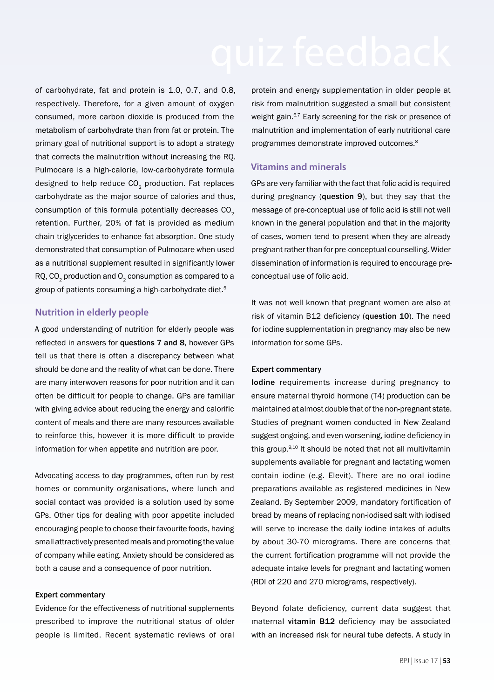of carbohydrate, fat and protein is 1.0, 0.7, and 0.8, respectively. Therefore, for a given amount of oxygen consumed, more carbon dioxide is produced from the metabolism of carbohydrate than from fat or protein. The primary goal of nutritional support is to adopt a strategy that corrects the malnutrition without increasing the RQ. Pulmocare is a high-calorie, low-carbohydrate formula designed to help reduce CO<sub>2</sub> production. Fat replaces carbohydrate as the major source of calories and thus, consumption of this formula potentially decreases CO<sub>2</sub> retention. Further, 20% of fat is provided as medium chain triglycerides to enhance fat absorption. One study demonstrated that consumption of Pulmocare when used as a nutritional supplement resulted in significantly lower  $RQ$ ,  $CO<sub>2</sub>$  production and  $O<sub>2</sub>$  consumption as compared to a group of patients consuming a high-carbohydrate diet.<sup>5</sup>

# **Nutrition in elderly people**

A good understanding of nutrition for elderly people was reflected in answers for questions 7 and 8, however GPs tell us that there is often a discrepancy between what should be done and the reality of what can be done. There are many interwoven reasons for poor nutrition and it can often be difficult for people to change. GPs are familiar with giving advice about reducing the energy and calorific content of meals and there are many resources available to reinforce this, however it is more difficult to provide information for when appetite and nutrition are poor.

Advocating access to day programmes, often run by rest homes or community organisations, where lunch and social contact was provided is a solution used by some GPs. Other tips for dealing with poor appetite included encouraging people to choose their favourite foods, having small attractively presented meals and promoting the value of company while eating. Anxiety should be considered as both a cause and a consequence of poor nutrition.

### Expert commentary

Evidence for the effectiveness of nutritional supplements prescribed to improve the nutritional status of older people is limited. Recent systematic reviews of oral

protein and energy supplementation in older people at risk from malnutrition suggested a small but consistent weight gain.<sup>6,7</sup> Early screening for the risk or presence of malnutrition and implementation of early nutritional care programmes demonstrate improved outcomes.<sup>8</sup>

# **Vitamins and minerals**

GPs are very familiar with the fact that folic acid is required during pregnancy (question 9), but they say that the message of pre-conceptual use of folic acid is still not well known in the general population and that in the majority of cases, women tend to present when they are already pregnant rather than for pre-conceptual counselling. Wider dissemination of information is required to encourage preconceptual use of folic acid.

It was not well known that pregnant women are also at risk of vitamin B12 deficiency (question 10). The need for iodine supplementation in pregnancy may also be new information for some GPs.

### Expert commentary

Iodine requirements increase during pregnancy to ensure maternal thyroid hormone (T4) production can be maintained at almost double that of the non-pregnant state. Studies of pregnant women conducted in New Zealand suggest ongoing, and even worsening, iodine deficiency in this group. $9,10$  It should be noted that not all multivitamin supplements available for pregnant and lactating women contain iodine (e.g. Elevit). There are no oral iodine preparations available as registered medicines in New Zealand. By September 2009, mandatory fortification of bread by means of replacing non-iodised salt with iodised will serve to increase the daily iodine intakes of adults by about 30-70 micrograms. There are concerns that the current fortification programme will not provide the adequate intake levels for pregnant and lactating women (RDI of 220 and 270 micrograms, respectively).

Beyond folate deficiency, current data suggest that maternal vitamin B12 deficiency may be associated with an increased risk for neural tube defects. A study in